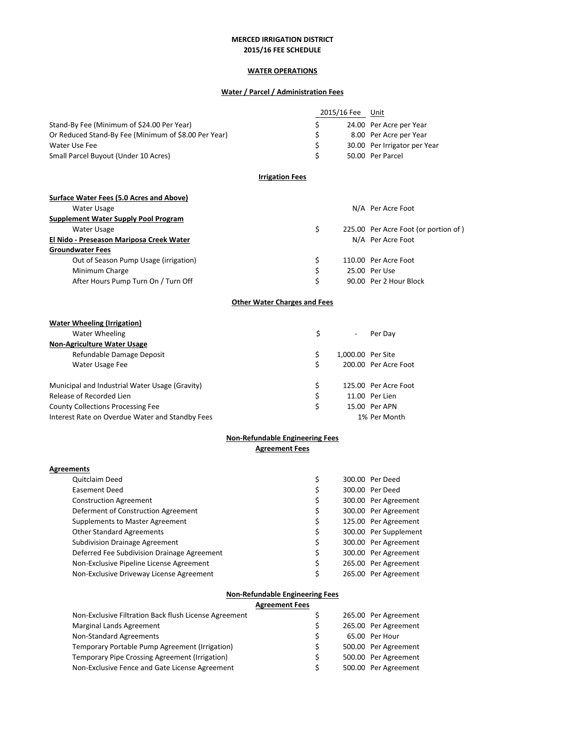# **WATER OPERATIONS**

## **Water / Parcel / Administration Fees**

|                                                      | 2015/16 Fee | Unit                         |
|------------------------------------------------------|-------------|------------------------------|
| Stand-By Fee (Minimum of \$24.00 Per Year)           |             | 24.00 Per Acre per Year      |
| Or Reduced Stand-By Fee (Minimum of \$8.00 Per Year) |             | 8.00 Per Acre per Year       |
| Water Use Fee                                        |             | 30.00 Per Irrigator per Year |
| Small Parcel Buyout (Under 10 Acres)                 |             | 50.00 Per Parcel             |

### **Irrigation Fees**

| Surface Water Fees (5.0 Acres and Above) |    |                                      |
|------------------------------------------|----|--------------------------------------|
| Water Usage                              |    | N/A Per Acre Foot                    |
| Supplement Water Supply Pool Program     |    |                                      |
| Water Usage                              |    | 225.00 Per Acre Foot (or portion of) |
| El Nido - Preseason Mariposa Creek Water |    | N/A Per Acre Foot                    |
| <b>Groundwater Fees</b>                  |    |                                      |
| Out of Season Pump Usage (irrigation)    | S  | 110.00 Per Acre Foot                 |
| Minimum Charge                           | \$ | 25.00 Per Use                        |
| After Hours Pump Turn On / Turn Off      |    | 90.00 Per 2 Hour Block               |

# **Other Water Charges and Fees**

| <b>Water Wheeling (Irrigation)</b>              |    |                          |                      |
|-------------------------------------------------|----|--------------------------|----------------------|
| Water Wheeling                                  | Ś  | $\overline{\phantom{a}}$ | Per Dav              |
| <b>Non-Agriculture Water Usage</b>              |    |                          |                      |
| Refundable Damage Deposit                       | \$ | 1.000.00 Per Site        |                      |
| Water Usage Fee                                 |    |                          | 200.00 Per Acre Foot |
| Municipal and Industrial Water Usage (Gravity)  | \$ |                          | 125.00 Per Acre Foot |
| Release of Recorded Lien                        | \$ |                          | 11.00 Per Lien       |
| <b>County Collections Processing Fee</b>        | \$ |                          | 15.00 Per APN        |
| Interest Rate on Overdue Water and Standby Fees |    |                          | 1% Per Month         |

### **Non‐Refundable Engineering Fees Agreement Fees**

#### **Agreements**

| <b>Quitclaim Deed</b>                       | \$ | 300.00 Per Deed       |
|---------------------------------------------|----|-----------------------|
| Easement Deed                               | \$ | 300.00 Per Deed       |
| <b>Construction Agreement</b>               | \$ | 300.00 Per Agreement  |
| Deferment of Construction Agreement         | \$ | 300.00 Per Agreement  |
| Supplements to Master Agreement             | \$ | 125.00 Per Agreement  |
| <b>Other Standard Agreements</b>            | \$ | 300.00 Per Supplement |
| <b>Subdivision Drainage Agreement</b>       | \$ | 300.00 Per Agreement  |
| Deferred Fee Subdivision Drainage Agreement | \$ | 300.00 Per Agreement  |
| Non-Exclusive Pipeline License Agreement    | \$ | 265.00 Per Agreement  |
| Non-Exclusive Driveway License Agreement    | Ś  | 265.00 Per Agreement  |

### **Non‐Refundable Engineering Fees**

|                                                       | <b>Agreement Fees</b> |   |                      |
|-------------------------------------------------------|-----------------------|---|----------------------|
| Non-Exclusive Filtration Back flush License Agreement |                       |   | 265.00 Per Agreement |
| Marginal Lands Agreement                              |                       | S | 265.00 Per Agreement |
| Non-Standard Agreements                               |                       | S | 65.00 Per Hour       |
| Temporary Portable Pump Agreement (Irrigation)        |                       | S | 500.00 Per Agreement |
| Temporary Pipe Crossing Agreement (Irrigation)        |                       |   | 500.00 Per Agreement |
| Non-Exclusive Fence and Gate License Agreement        |                       | ς | 500.00 Per Agreement |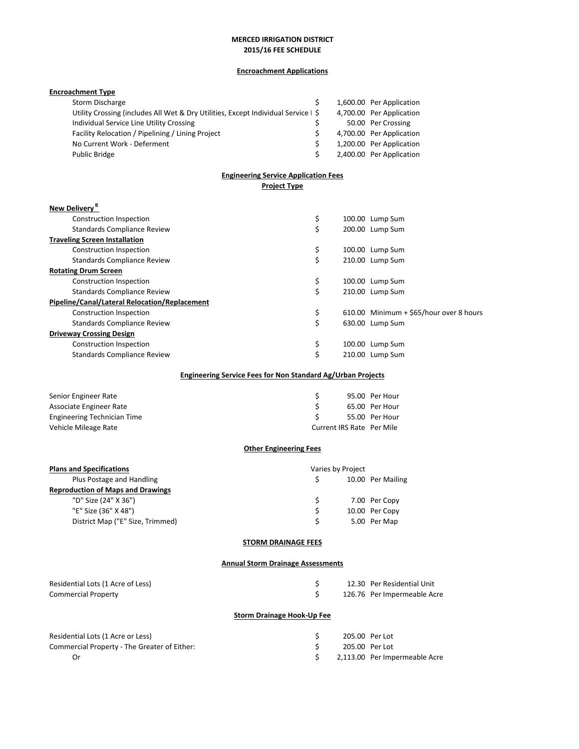# **Encroachment Applications**

| <b>Encroachment Type</b>                                                           |          |                           |                                         |
|------------------------------------------------------------------------------------|----------|---------------------------|-----------------------------------------|
| Storm Discharge                                                                    | \$       |                           | 1,600.00 Per Application                |
| Utility Crossing (includes All Wet & Dry Utilities, Except Individual Service   \$ |          |                           | 4,700.00 Per Application                |
| Individual Service Line Utility Crossing                                           | \$       |                           | 50.00 Per Crossing                      |
| Facility Relocation / Pipelining / Lining Project                                  | \$       |                           | 4,700.00 Per Application                |
| No Current Work - Deferment                                                        | \$       |                           | 1,200.00 Per Application                |
| Public Bridge                                                                      | \$       |                           | 2,400.00 Per Application                |
| <b>Engineering Service Application Fees</b>                                        |          |                           |                                         |
| <b>Project Type</b>                                                                |          |                           |                                         |
| New Delivery <sup>B</sup>                                                          |          |                           |                                         |
| <b>Construction Inspection</b>                                                     | \$       |                           | 100.00 Lump Sum                         |
| Standards Compliance Review                                                        | \$       |                           | 200.00 Lump Sum                         |
| <b>Traveling Screen Installation</b>                                               |          |                           |                                         |
| Construction Inspection                                                            | \$       |                           | 100.00 Lump Sum                         |
| <b>Standards Compliance Review</b>                                                 | \$       |                           | 210.00 Lump Sum                         |
| <b>Rotating Drum Screen</b>                                                        |          |                           |                                         |
| Construction Inspection                                                            | \$       |                           | 100.00 Lump Sum                         |
| <b>Standards Compliance Review</b>                                                 | \$       |                           | 210.00 Lump Sum                         |
| Pipeline/Canal/Lateral Relocation/Replacement                                      |          |                           |                                         |
| Construction Inspection                                                            | \$       |                           | 610.00 Minimum + \$65/hour over 8 hours |
| <b>Standards Compliance Review</b>                                                 | \$       |                           | 630.00 Lump Sum                         |
| <b>Driveway Crossing Design</b>                                                    |          |                           |                                         |
| Construction Inspection                                                            | \$<br>\$ |                           | 100.00 Lump Sum<br>210.00 Lump Sum      |
| Standards Compliance Review                                                        |          |                           |                                         |
| <b>Engineering Service Fees for Non Standard Ag/Urban Projects</b>                 |          |                           |                                         |
| Senior Engineer Rate                                                               | \$       |                           | 95.00 Per Hour                          |
| Associate Engineer Rate                                                            | \$       |                           | 65.00 Per Hour                          |
| <b>Engineering Technician Time</b>                                                 | \$       |                           | 55.00 Per Hour                          |
| Vehicle Mileage Rate                                                               |          | Current IRS Rate Per Mile |                                         |
| <b>Other Engineering Fees</b>                                                      |          |                           |                                         |
| <b>Plans and Specifications</b>                                                    |          | Varies by Project         |                                         |
| Plus Postage and Handling                                                          | \$       |                           | 10.00 Per Mailing                       |
| <b>Reproduction of Maps and Drawings</b>                                           |          |                           |                                         |
| "D" Size (24" X 36")                                                               | \$       |                           | 7.00 Per Copy                           |
| "E" Size (36" X 48")                                                               | Ş        |                           | 10.00 Per Copy                          |
| District Map ("E" Size, Trimmed)                                                   | \$       |                           | 5.00 Per Map                            |
| <b>STORM DRAINAGE FEES</b>                                                         |          |                           |                                         |
| <b>Annual Storm Drainage Assessments</b>                                           |          |                           |                                         |
| Residential Lots (1 Acre of Less)                                                  | \$       |                           | 12.30 Per Residential Unit              |
| <b>Commercial Property</b>                                                         | \$       |                           | 126.76 Per Impermeable Acre             |
|                                                                                    |          |                           |                                         |
| <b>Storm Drainage Hook-Up Fee</b>                                                  |          |                           |                                         |
| Residential Lots (1 Acre or Less)                                                  | \$       |                           | 205.00 Per Lot                          |

| Residential Lots (1 Acre or Less)            | 205.00 Per Lot |                               |
|----------------------------------------------|----------------|-------------------------------|
| Commercial Property - The Greater of Either: | 205.00 Per Lot |                               |
|                                              |                | 2.113.00 Per Impermeable Acre |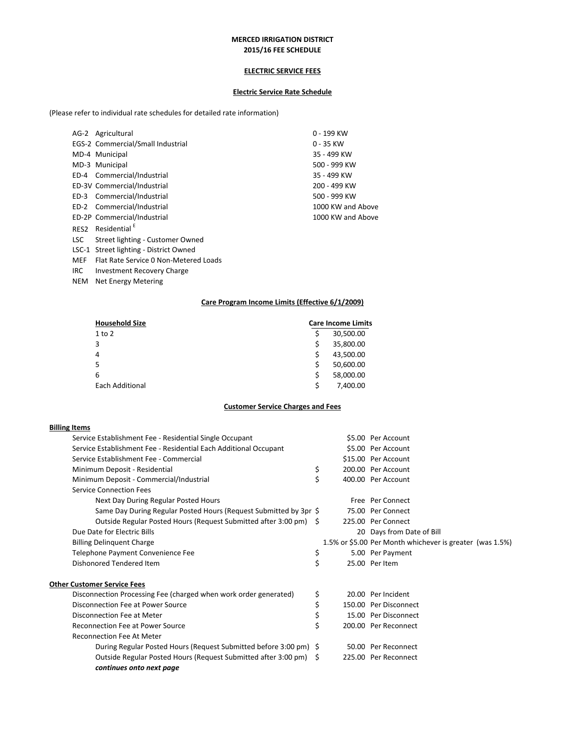#### **ELECTRIC SERVICE FEES**

#### **Electric Service Rate Schedule**

(Please refer to individual rate schedules for detailed rate information)

|            | AG-2 Agricultural                      | $0 - 199$ KW      |
|------------|----------------------------------------|-------------------|
|            | EGS-2 Commercial/Small Industrial      | 0 - 35 KW         |
|            | MD-4 Municipal                         | 35 - 499 KW       |
|            | MD-3 Municipal                         | 500 - 999 KW      |
|            | ED-4 Commercial/Industrial             | 35 - 499 KW       |
|            | ED-3V Commercial/Industrial            | 200 - 499 KW      |
|            | ED-3 Commercial/Industrial             | 500 - 999 KW      |
|            | ED-2 Commercial/Industrial             | 1000 KW and Above |
|            | ED-2P Commercial/Industrial            | 1000 KW and Above |
| RES2       | Residential <sup>E</sup>               |                   |
| LSC.       | Street lighting - Customer Owned       |                   |
|            | LSC-1 Street lighting - District Owned |                   |
| <b>MEF</b> | Flat Rate Service 0 Non-Metered Loads  |                   |
| IRC.       | Investment Recovery Charge             |                   |

NEM Net Energy Metering

#### **Care Program Income Limits (Effective 6/1/2009)**

| <b>Household Size</b> |   | <b>Care Income Limits</b> |
|-----------------------|---|---------------------------|
| 1 to 2                | Ś | 30,500.00                 |
| 3                     | Ś | 35,800.00                 |
| 4                     | Ś | 43,500.00                 |
| 5                     | Ś | 50,600.00                 |
| 6                     | Ś | 58,000.00                 |
| Each Additional       | Ś | 7,400.00                  |
|                       |   |                           |

#### **Customer Service Charges and Fees**

### **Billing Items**

| Service Establishment Fee - Residential Single Occupant           |    | \$5.00 Per Account                                       |
|-------------------------------------------------------------------|----|----------------------------------------------------------|
| Service Establishment Fee - Residential Each Additional Occupant  |    | \$5.00 Per Account                                       |
| Service Establishment Fee - Commercial                            |    | \$15.00 Per Account                                      |
| Minimum Deposit - Residential                                     | \$ | 200.00 Per Account                                       |
| Minimum Deposit - Commercial/Industrial                           |    | 400.00 Per Account                                       |
| <b>Service Connection Fees</b>                                    |    |                                                          |
| Next Day During Regular Posted Hours                              |    | Free Per Connect                                         |
| Same Day During Regular Posted Hours (Request Submitted by 3pr \$ |    | 75.00 Per Connect                                        |
| Outside Regular Posted Hours (Request Submitted after 3:00 pm) \$ |    | 225.00 Per Connect                                       |
| Due Date for Electric Bills                                       |    | 20 Days from Date of Bill                                |
| <b>Billing Delinquent Charge</b>                                  |    | 1.5% or \$5.00 Per Month whichever is greater (was 1.5%) |
| Telephone Payment Convenience Fee                                 | \$ | 5.00 Per Payment                                         |
| Dishonored Tendered Item                                          | \$ | 25.00 Per Item                                           |
| <b>Other Customer Service Fees</b>                                |    |                                                          |
| Disconnection Processing Fee (charged when work order generated)  | \$ | 20.00 Per Incident                                       |
| Disconnection Fee at Power Source                                 | \$ | 150.00 Per Disconnect                                    |
| Disconnection Fee at Meter                                        |    | 15.00 Per Disconnect                                     |
| Reconnection Fee at Power Source                                  | Ś  | 200.00 Per Reconnect                                     |
| <b>Reconnection Fee At Meter</b>                                  |    |                                                          |
| During Regular Posted Hours (Request Submitted before 3:00 pm) \$ |    | 50.00 Per Reconnect                                      |
| Outside Regular Posted Hours (Request Submitted after 3:00 pm) \$ |    | 225.00 Per Reconnect                                     |
| continues onto next page                                          |    |                                                          |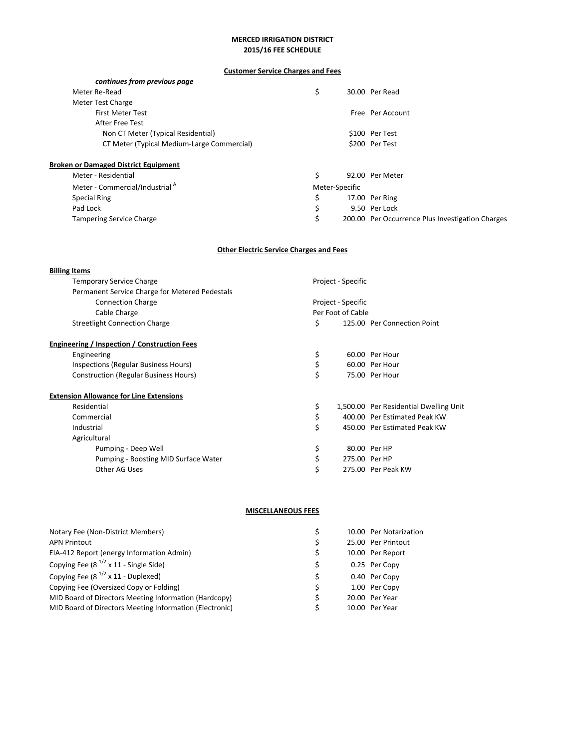# **Customer Service Charges and Fees**

| continues from previous page                |                |                                                  |
|---------------------------------------------|----------------|--------------------------------------------------|
| Meter Re-Read                               | \$             | 30.00 Per Read                                   |
| Meter Test Charge                           |                |                                                  |
| <b>First Meter Test</b>                     |                | Free Per Account                                 |
| After Free Test                             |                |                                                  |
| Non CT Meter (Typical Residential)          |                | \$100 Per Test                                   |
| CT Meter (Typical Medium-Large Commercial)  |                | \$200 Per Test                                   |
|                                             |                |                                                  |
| <b>Broken or Damaged District Equipment</b> |                |                                                  |
| Meter - Residential                         | \$             | 92.00 Per Meter                                  |
| Meter - Commercial/Industrial <sup>A</sup>  | Meter-Specific |                                                  |
| <b>Special Ring</b>                         | \$             | 17.00 Per Ring                                   |
| Pad Lock                                    | \$             | 9.50 Per Lock                                    |
| <b>Tampering Service Charge</b>             |                | 200.00 Per Occurrence Plus Investigation Charges |
|                                             |                |                                                  |

## **Other Electric Service Charges and Fees**

| <b>Billing Items</b>                           |                    |                    |                                        |  |  |
|------------------------------------------------|--------------------|--------------------|----------------------------------------|--|--|
| <b>Temporary Service Charge</b>                |                    | Project - Specific |                                        |  |  |
| Permanent Service Charge for Metered Pedestals |                    |                    |                                        |  |  |
| <b>Connection Charge</b>                       | Project - Specific |                    |                                        |  |  |
| Cable Charge                                   | Per Foot of Cable  |                    |                                        |  |  |
| <b>Streetlight Connection Charge</b>           | \$                 |                    | 125.00 Per Connection Point            |  |  |
| Engineering / Inspection / Construction Fees   |                    |                    |                                        |  |  |
| Engineering                                    | \$                 |                    | 60.00 Per Hour                         |  |  |
| Inspections (Regular Business Hours)           | \$                 |                    | 60.00 Per Hour                         |  |  |
| <b>Construction (Regular Business Hours)</b>   | \$                 |                    | 75.00 Per Hour                         |  |  |
| <b>Extension Allowance for Line Extensions</b> |                    |                    |                                        |  |  |
| Residential                                    | \$                 |                    | 1,500.00 Per Residential Dwelling Unit |  |  |
| Commercial                                     | \$                 |                    | 400.00 Per Estimated Peak KW           |  |  |
| Industrial                                     | \$                 |                    | 450.00 Per Estimated Peak KW           |  |  |
| Agricultural                                   |                    |                    |                                        |  |  |
| Pumping - Deep Well                            | \$                 |                    | 80.00 Per HP                           |  |  |
| Pumping - Boosting MID Surface Water           | \$                 | 275.00 Per HP      |                                        |  |  |
| Other AG Uses                                  | \$                 |                    | 275.00 Per Peak KW                     |  |  |

# **MISCELLANEOUS FEES**

| Notary Fee (Non-District Members)                       |    | 10.00 Per Notarization |
|---------------------------------------------------------|----|------------------------|
| <b>APN Printout</b>                                     | \$ | 25.00 Per Printout     |
| EIA-412 Report (energy Information Admin)               | \$ | 10.00 Per Report       |
| Copying Fee $(8^{1/2} \times 11 - S)$ Single Side)      | S  | 0.25 Per Copy          |
| Copying Fee $(8^{1/2} \times 11 -$ Duplexed)            | Ś. | 0.40 Per Copy          |
| Copying Fee (Oversized Copy or Folding)                 | Ŝ. | 1.00 Per Copy          |
| MID Board of Directors Meeting Information (Hardcopy)   | Ś  | 20.00 Per Year         |
| MID Board of Directors Meeting Information (Electronic) | S  | 10.00 Per Year         |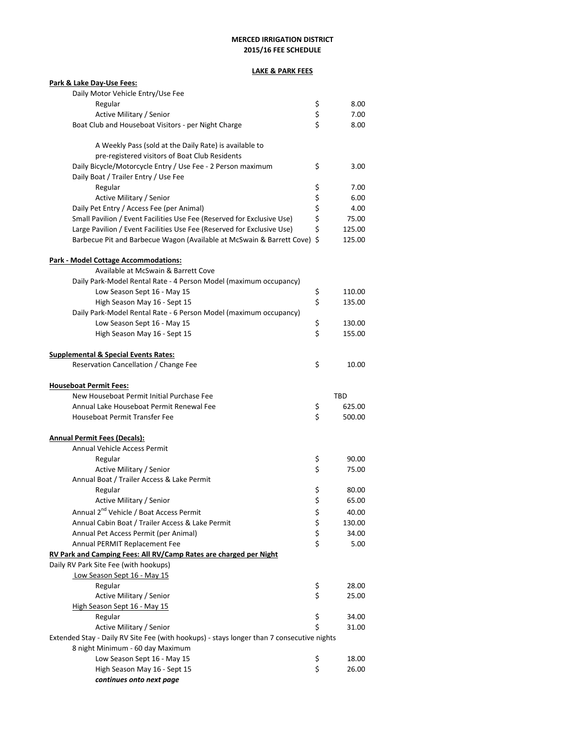## **LAKE & PARK FEES**

| Park & Lake Day-Use Fees:                                                                 |          |                  |
|-------------------------------------------------------------------------------------------|----------|------------------|
| Daily Motor Vehicle Entry/Use Fee                                                         |          |                  |
| Regular                                                                                   | \$       | 8.00             |
| Active Military / Senior                                                                  | \$<br>Ś  | 7.00             |
| Boat Club and Houseboat Visitors - per Night Charge                                       |          | 8.00             |
| A Weekly Pass (sold at the Daily Rate) is available to                                    |          |                  |
| pre-registered visitors of Boat Club Residents                                            |          |                  |
| Daily Bicycle/Motorcycle Entry / Use Fee - 2 Person maximum                               | \$       | 3.00             |
| Daily Boat / Trailer Entry / Use Fee                                                      |          |                  |
| Regular                                                                                   | \$       | 7.00             |
| Active Military / Senior                                                                  | \$       | 6.00             |
| Daily Pet Entry / Access Fee (per Animal)                                                 | \$       | 4.00             |
| Small Pavilion / Event Facilities Use Fee (Reserved for Exclusive Use)                    | \$       | 75.00            |
| Large Pavilion / Event Facilities Use Fee (Reserved for Exclusive Use)                    | \$       | 125.00           |
| Barbecue Pit and Barbecue Wagon (Available at McSwain & Barrett Cove) \$                  |          | 125.00           |
| Park - Model Cottage Accommodations:                                                      |          |                  |
| Available at McSwain & Barrett Cove                                                       |          |                  |
| Daily Park-Model Rental Rate - 4 Person Model (maximum occupancy)                         |          |                  |
| Low Season Sept 16 - May 15                                                               | \$       | 110.00           |
| High Season May 16 - Sept 15                                                              | \$       | 135.00           |
| Daily Park-Model Rental Rate - 6 Person Model (maximum occupancy)                         |          |                  |
| Low Season Sept 16 - May 15                                                               | \$       | 130.00           |
| High Season May 16 - Sept 15                                                              | \$       | 155.00           |
|                                                                                           |          |                  |
| <b>Supplemental &amp; Special Events Rates:</b>                                           |          |                  |
| Reservation Cancellation / Change Fee                                                     | \$       | 10.00            |
|                                                                                           |          |                  |
|                                                                                           |          |                  |
| <b>Houseboat Permit Fees:</b><br>New Houseboat Permit Initial Purchase Fee                |          | TBD              |
|                                                                                           |          |                  |
| Annual Lake Houseboat Permit Renewal Fee<br>Houseboat Permit Transfer Fee                 | \$<br>\$ | 625.00<br>500.00 |
|                                                                                           |          |                  |
| <b>Annual Permit Fees (Decals):</b>                                                       |          |                  |
| Annual Vehicle Access Permit                                                              |          |                  |
| Regular                                                                                   | \$       | 90.00            |
| Active Military / Senior                                                                  | \$       | 75.00            |
| Annual Boat / Trailer Access & Lake Permit                                                |          |                  |
| Regular                                                                                   | \$       | 80.00            |
| Active Military / Senior                                                                  | Ś        | 65.00            |
| Annual 2 <sup>nd</sup> Vehicle / Boat Access Permit                                       | \$       | 40.00            |
| Annual Cabin Boat / Trailer Access & Lake Permit                                          |          | 130.00           |
| Annual Pet Access Permit (per Animal)                                                     | \$<br>\$ | 34.00            |
| Annual PERMIT Replacement Fee                                                             | \$       | 5.00             |
| RV Park and Camping Fees: All RV/Camp Rates are charged per Night                         |          |                  |
| Daily RV Park Site Fee (with hookups)                                                     |          |                  |
| Low Season Sept 16 - May 15                                                               |          |                  |
| Regular                                                                                   | \$       | 28.00            |
| Active Military / Senior                                                                  | \$       | 25.00            |
| High Season Sept 16 - May 15                                                              |          |                  |
| Regular                                                                                   | \$       | 34.00            |
| Active Military / Senior                                                                  | \$       | 31.00            |
| Extended Stay - Daily RV Site Fee (with hookups) - stays longer than 7 consecutive nights |          |                  |
| 8 night Minimum - 60 day Maximum                                                          |          |                  |
| Low Season Sept 16 - May 15                                                               | \$       | 18.00            |
| High Season May 16 - Sept 15<br>continues onto next page                                  | \$       | 26.00            |